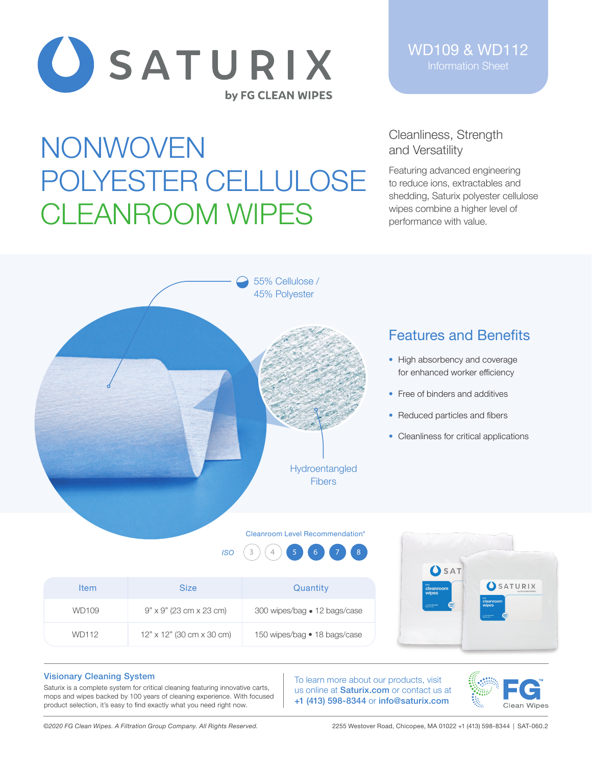

# NONWOVEN POLYESTER CELLULOSE CLEANROOM WIPES

## Cleanliness, Strength and Versatility

Featuring advanced engineering to reduce ions, extractables and shedding, Saturix polyester cellulose wipes combine a higher level of performance with value.

WD109 & WD112 Information Sheet



- High absorbency and coverage for enhanced worker efficiency
- Free of binders and additives
- Reduced particles and fibers
- Cleanliness for critical applications

#### Cleanroom Level Recommendation\*

Hydroentangled Fibers



55% Cellulose / 45% Polyester



#### Visionary Cleaning System

Saturix is a complete system for critical cleaning featuring innovative carts, mops and wipes backed by 100 years of cleaning experience. With focused product selection, it's easy to find exactly what you need right now.

To learn more about our products, visit us online at Saturix.com or contact us at +1 (413) 598-8344 or info@saturix.com



*©2020 FG Clean Wipes. A Filtration Group Company. All Rights Reserved.* 2255 Westover Road, Chicopee, MA 01022 +1 (413) 598-8344 | SAT-060.2